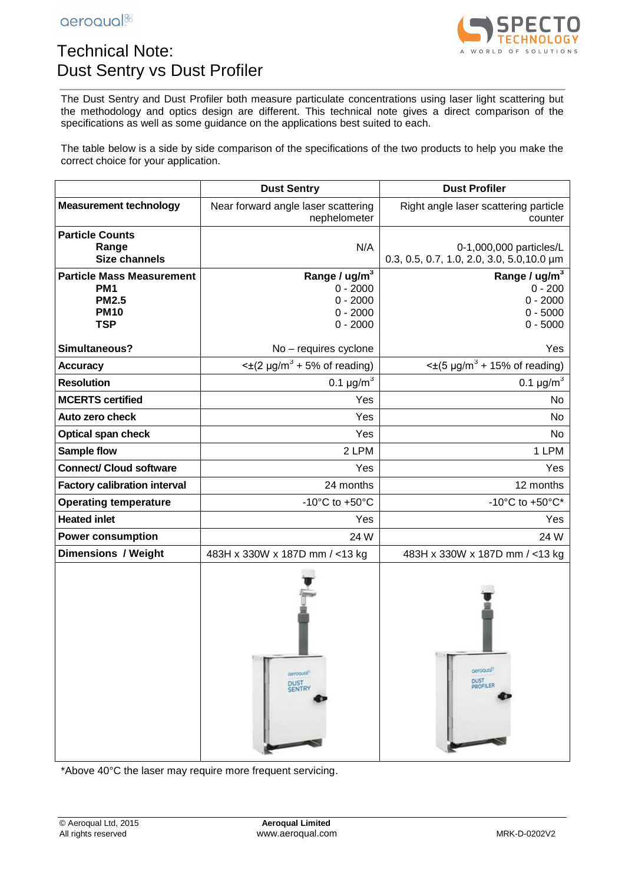

## Technical Note: Dust Sentry vs Dust Profiler

The Dust Sentry and Dust Profiler both measure particulate concentrations using laser light scattering but the methodology and optics design are different. This technical note gives a direct comparison of the specifications as well as some guidance on the applications best suited to each.

The table below is a side by side comparison of the specifications of the two products to help you make the correct choice for your application.

|                                                                                                  | <b>Dust Sentry</b>                                                                | <b>Dust Profiler</b>                                                   |
|--------------------------------------------------------------------------------------------------|-----------------------------------------------------------------------------------|------------------------------------------------------------------------|
| <b>Measurement technology</b>                                                                    | Near forward angle laser scattering<br>nephelometer                               | Right angle laser scattering particle<br>counter                       |
| <b>Particle Counts</b><br>Range<br><b>Size channels</b>                                          | N/A                                                                               | 0-1,000,000 particles/L<br>0.3, 0.5, 0.7, 1.0, 2.0, 3.0, 5.0, 10.0 µm  |
| <b>Particle Mass Measurement</b><br>PM <sub>1</sub><br><b>PM2.5</b><br><b>PM10</b><br><b>TSP</b> | Range / ug/m <sup>3</sup><br>$0 - 2000$<br>$0 - 2000$<br>$0 - 2000$<br>$0 - 2000$ | Range / $ug/m3$<br>$0 - 200$<br>$0 - 2000$<br>$0 - 5000$<br>$0 - 5000$ |
| Simultaneous?                                                                                    | No - requires cyclone                                                             | Yes                                                                    |
| <b>Accuracy</b>                                                                                  | $\leq \pm (2 \mu g/m^3 + 5\% \text{ of reading})$                                 | $\leq$ ±(5 µg/m <sup>3</sup> + 15% of reading)                         |
| <b>Resolution</b>                                                                                | 0.1 $\mu$ g/m <sup>3</sup>                                                        | 0.1 $\mu$ g/m <sup>3</sup>                                             |
| <b>MCERTS certified</b>                                                                          | Yes                                                                               | No.                                                                    |
| Auto zero check                                                                                  | Yes                                                                               | No                                                                     |
| <b>Optical span check</b>                                                                        | Yes                                                                               | No                                                                     |
| Sample flow                                                                                      | 2 LPM                                                                             | 1 LPM                                                                  |
| <b>Connect/ Cloud software</b>                                                                   | Yes                                                                               | Yes                                                                    |
| <b>Factory calibration interval</b>                                                              | 24 months                                                                         | 12 months                                                              |
| <b>Operating temperature</b>                                                                     | -10 $^{\circ}$ C to +50 $^{\circ}$ C                                              | -10°C to $+50$ °C*                                                     |
| <b>Heated inlet</b>                                                                              | Yes                                                                               | Yes                                                                    |
| <b>Power consumption</b>                                                                         | 24 W                                                                              | 24 W                                                                   |
| <b>Dimensions / Weight</b>                                                                       | 483H x 330W x 187D mm / <13 kg                                                    | 483H x 330W x 187D mm / <13 kg                                         |
|                                                                                                  | gerogual <sup>1</sup><br><b>DUST</b><br><b>SENTRY</b>                             | gerogual <sup>1</sup><br><b>DUST</b><br><b>PROFILER</b>                |

\*Above 40°C the laser may require more frequent servicing.